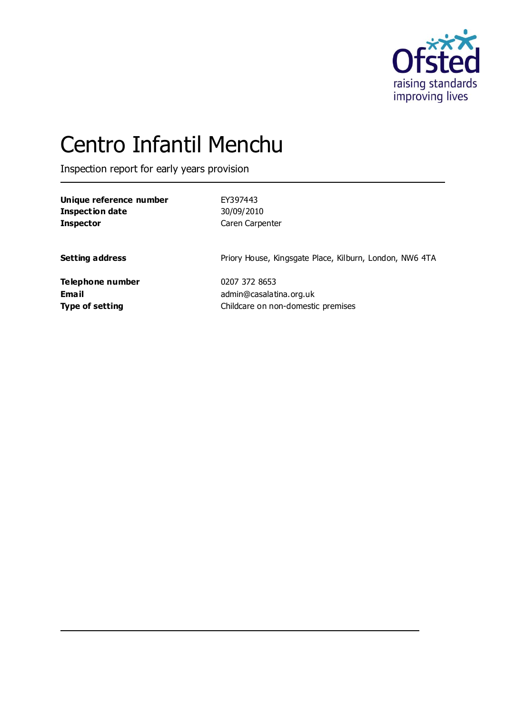

# Centro Infantil Menchu

Inspection report for early years provision

| Unique reference number | EY397443                                                |
|-------------------------|---------------------------------------------------------|
| Inspection date         | 30/09/2010                                              |
| <b>Inspector</b>        | Caren Carpenter                                         |
| <b>Setting address</b>  | Priory House, Kingsgate Place, Kilburn, London, NW6 4TA |
| Telephone number        | 0207 372 8653                                           |
| Email                   | admin@casalatina.org.uk                                 |
| <b>Type of setting</b>  | Childcare on non-domestic premises                      |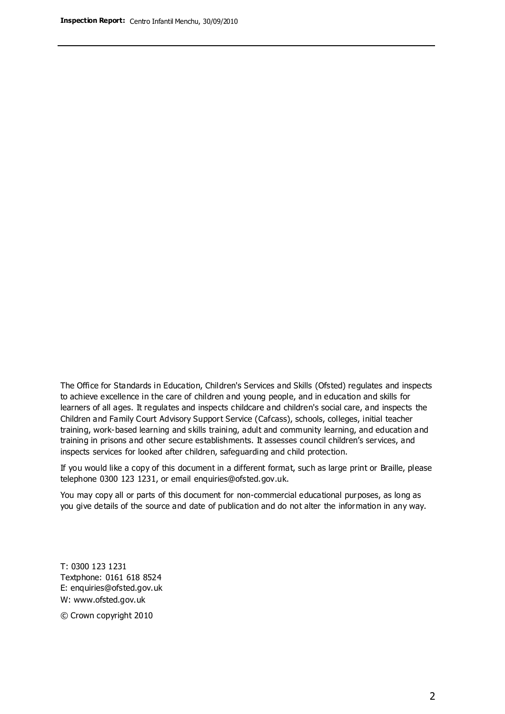The Office for Standards in Education, Children's Services and Skills (Ofsted) regulates and inspects to achieve excellence in the care of children and young people, and in education and skills for learners of all ages. It regulates and inspects childcare and children's social care, and inspects the Children and Family Court Advisory Support Service (Cafcass), schools, colleges, initial teacher training, work-based learning and skills training, adult and community learning, and education and training in prisons and other secure establishments. It assesses council children's services, and inspects services for looked after children, safeguarding and child protection.

If you would like a copy of this document in a different format, such as large print or Braille, please telephone 0300 123 1231, or email enquiries@ofsted.gov.uk.

You may copy all or parts of this document for non-commercial educational purposes, as long as you give details of the source and date of publication and do not alter the information in any way.

T: 0300 123 1231 Textphone: 0161 618 8524 E: enquiries@ofsted.gov.uk W: [www.ofsted.gov.uk](http://www.ofsted.gov.uk/)

© Crown copyright 2010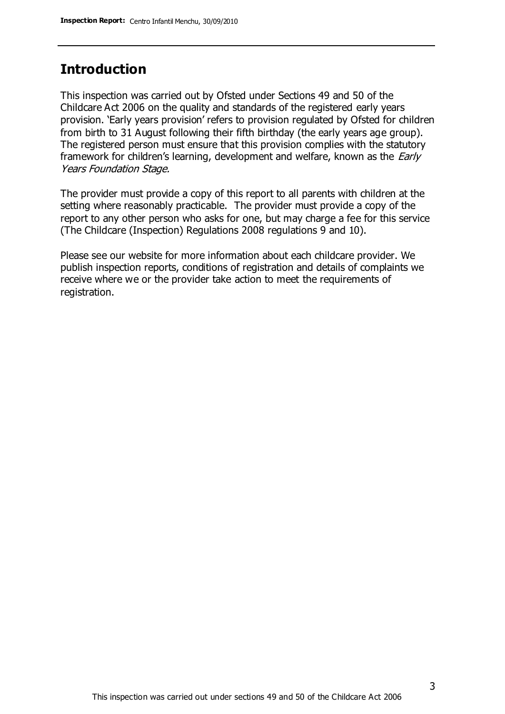## **Introduction**

This inspection was carried out by Ofsted under Sections 49 and 50 of the Childcare Act 2006 on the quality and standards of the registered early years provision. 'Early years provision' refers to provision regulated by Ofsted for children from birth to 31 August following their fifth birthday (the early years age group). The registered person must ensure that this provision complies with the statutory framework for children's learning, development and welfare, known as the *Early* Years Foundation Stage.

The provider must provide a copy of this report to all parents with children at the setting where reasonably practicable. The provider must provide a copy of the report to any other person who asks for one, but may charge a fee for this service (The Childcare (Inspection) Regulations 2008 regulations 9 and 10).

Please see our website for more information about each childcare provider. We publish inspection reports, conditions of registration and details of complaints we receive where we or the provider take action to meet the requirements of registration.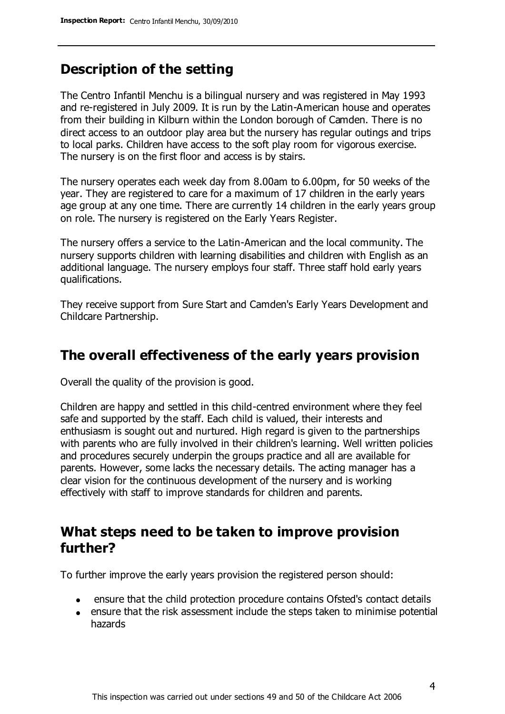# **Description of the setting**

The Centro Infantil Menchu is a bilingual nursery and was registered in May 1993 and re-registered in July 2009. It is run by the Latin-American house and operates from their building in Kilburn within the London borough of Camden. There is no direct access to an outdoor play area but the nursery has regular outings and trips to local parks. Children have access to the soft play room for vigorous exercise. The nursery is on the first floor and access is by stairs.

The nursery operates each week day from 8.00am to 6.00pm, for 50 weeks of the year. They are registered to care for a maximum of 17 children in the early years age group at any one time. There are currently 14 children in the early years group on role. The nursery is registered on the Early Years Register.

The nursery offers a service to the Latin-American and the local community. The nursery supports children with learning disabilities and children with English as an additional language. The nursery employs four staff. Three staff hold early years qualifications.

They receive support from Sure Start and Camden's Early Years Development and Childcare Partnership.

## **The overall effectiveness of the early years provision**

Overall the quality of the provision is good.

Children are happy and settled in this child-centred environment where they feel safe and supported by the staff. Each child is valued, their interests and enthusiasm is sought out and nurtured. High regard is given to the partnerships with parents who are fully involved in their children's learning. Well written policies and procedures securely underpin the groups practice and all are available for parents. However, some lacks the necessary details. The acting manager has a clear vision for the continuous development of the nursery and is working effectively with staff to improve standards for children and parents.

### **What steps need to be taken to improve provision further?**

To further improve the early years provision the registered person should:

- ensure that the child protection procedure contains Ofsted's contact details
- ensure that the risk assessment include the steps taken to minimise potential hazards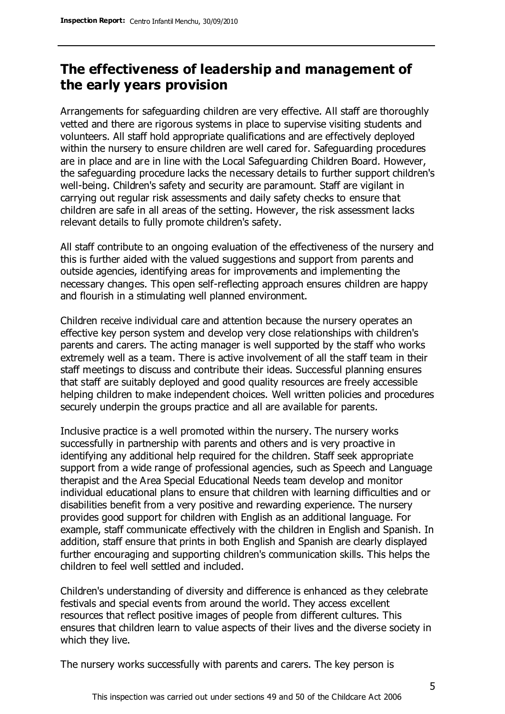# **The effectiveness of leadership and management of the early years provision**

Arrangements for safeguarding children are very effective. All staff are thoroughly vetted and there are rigorous systems in place to supervise visiting students and volunteers. All staff hold appropriate qualifications and are effectively deployed within the nursery to ensure children are well cared for. Safeguarding procedures are in place and are in line with the Local Safeguarding Children Board. However, the safeguarding procedure lacks the necessary details to further support children's well-being. Children's safety and security are paramount. Staff are vigilant in carrying out regular risk assessments and daily safety checks to ensure that children are safe in all areas of the setting. However, the risk assessment lacks relevant details to fully promote children's safety.

All staff contribute to an ongoing evaluation of the effectiveness of the nursery and this is further aided with the valued suggestions and support from parents and outside agencies, identifying areas for improvements and implementing the necessary changes. This open self-reflecting approach ensures children are happy and flourish in a stimulating well planned environment.

Children receive individual care and attention because the nursery operates an effective key person system and develop very close relationships with children's parents and carers. The acting manager is well supported by the staff who works extremely well as a team. There is active involvement of all the staff team in their staff meetings to discuss and contribute their ideas. Successful planning ensures that staff are suitably deployed and good quality resources are freely accessible helping children to make independent choices. Well written policies and procedures securely underpin the groups practice and all are available for parents.

Inclusive practice is a well promoted within the nursery. The nursery works successfully in partnership with parents and others and is very proactive in identifying any additional help required for the children. Staff seek appropriate support from a wide range of professional agencies, such as Speech and Language therapist and the Area Special Educational Needs team develop and monitor individual educational plans to ensure that children with learning difficulties and or disabilities benefit from a very positive and rewarding experience. The nursery provides good support for children with English as an additional language. For example, staff communicate effectively with the children in English and Spanish. In addition, staff ensure that prints in both English and Spanish are clearly displayed further encouraging and supporting children's communication skills. This helps the children to feel well settled and included.

Children's understanding of diversity and difference is enhanced as they celebrate festivals and special events from around the world. They access excellent resources that reflect positive images of people from different cultures. This ensures that children learn to value aspects of their lives and the diverse society in which they live.

The nursery works successfully with parents and carers. The key person is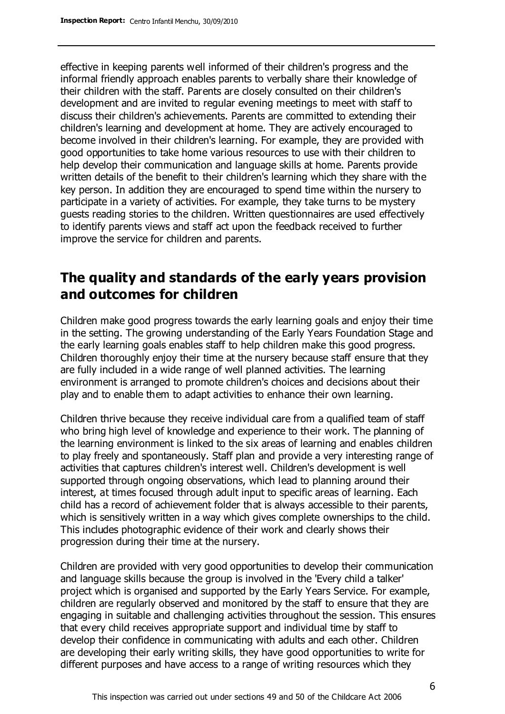effective in keeping parents well informed of their children's progress and the informal friendly approach enables parents to verbally share their knowledge of their children with the staff. Parents are closely consulted on their children's development and are invited to regular evening meetings to meet with staff to discuss their children's achievements. Parents are committed to extending their children's learning and development at home. They are actively encouraged to become involved in their children's learning. For example, they are provided with good opportunities to take home various resources to use with their children to help develop their communication and language skills at home. Parents provide written details of the benefit to their children's learning which they share with the key person. In addition they are encouraged to spend time within the nursery to participate in a variety of activities. For example, they take turns to be mystery guests reading stories to the children. Written questionnaires are used effectively to identify parents views and staff act upon the feedback received to further improve the service for children and parents.

# **The quality and standards of the early years provision and outcomes for children**

Children make good progress towards the early learning goals and enjoy their time in the setting. The growing understanding of the Early Years Foundation Stage and the early learning goals enables staff to help children make this good progress. Children thoroughly enjoy their time at the nursery because staff ensure that they are fully included in a wide range of well planned activities. The learning environment is arranged to promote children's choices and decisions about their play and to enable them to adapt activities to enhance their own learning.

Children thrive because they receive individual care from a qualified team of staff who bring high level of knowledge and experience to their work. The planning of the learning environment is linked to the six areas of learning and enables children to play freely and spontaneously. Staff plan and provide a very interesting range of activities that captures children's interest well. Children's development is well supported through ongoing observations, which lead to planning around their interest, at times focused through adult input to specific areas of learning. Each child has a record of achievement folder that is always accessible to their parents, which is sensitively written in a way which gives complete ownerships to the child. This includes photographic evidence of their work and clearly shows their progression during their time at the nursery.

Children are provided with very good opportunities to develop their communication and language skills because the group is involved in the 'Every child a talker' project which is organised and supported by the Early Years Service. For example, children are regularly observed and monitored by the staff to ensure that they are engaging in suitable and challenging activities throughout the session. This ensures that every child receives appropriate support and individual time by staff to develop their confidence in communicating with adults and each other. Children are developing their early writing skills, they have good opportunities to write for different purposes and have access to a range of writing resources which they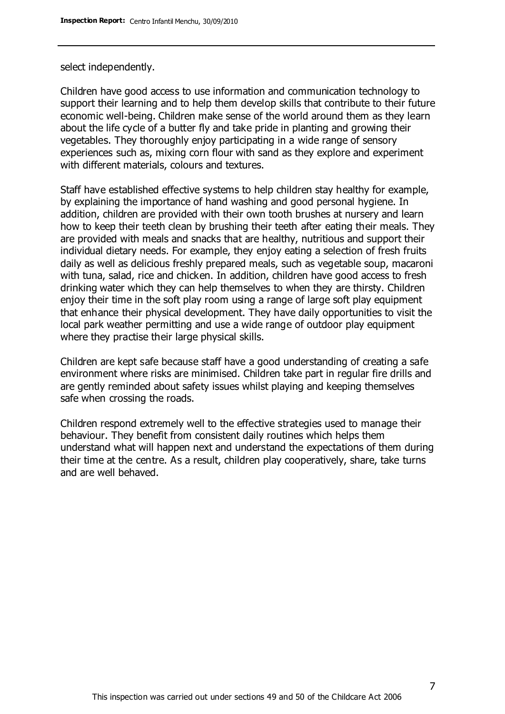select independently.

Children have good access to use information and communication technology to support their learning and to help them develop skills that contribute to their future economic well-being. Children make sense of the world around them as they learn about the life cycle of a butter fly and take pride in planting and growing their vegetables. They thoroughly enjoy participating in a wide range of sensory experiences such as, mixing corn flour with sand as they explore and experiment with different materials, colours and textures.

Staff have established effective systems to help children stay healthy for example, by explaining the importance of hand washing and good personal hygiene. In addition, children are provided with their own tooth brushes at nursery and learn how to keep their teeth clean by brushing their teeth after eating their meals. They are provided with meals and snacks that are healthy, nutritious and support their individual dietary needs. For example, they enjoy eating a selection of fresh fruits daily as well as delicious freshly prepared meals, such as vegetable soup, macaroni with tuna, salad, rice and chicken. In addition, children have good access to fresh drinking water which they can help themselves to when they are thirsty. Children enjoy their time in the soft play room using a range of large soft play equipment that enhance their physical development. They have daily opportunities to visit the local park weather permitting and use a wide range of outdoor play equipment where they practise their large physical skills.

Children are kept safe because staff have a good understanding of creating a safe environment where risks are minimised. Children take part in regular fire drills and are gently reminded about safety issues whilst playing and keeping themselves safe when crossing the roads.

Children respond extremely well to the effective strategies used to manage their behaviour. They benefit from consistent daily routines which helps them understand what will happen next and understand the expectations of them during their time at the centre. As a result, children play cooperatively, share, take turns and are well behaved.